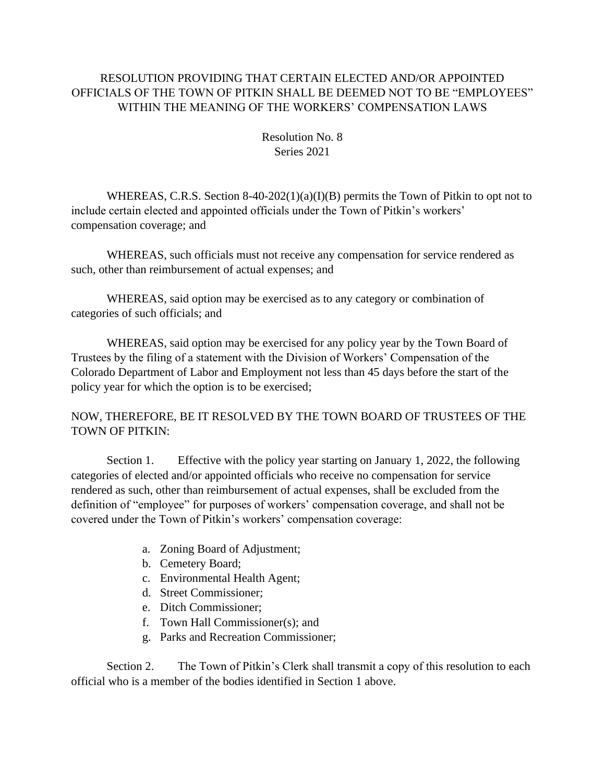## RESOLUTION PROVIDING THAT CERTAIN ELECTED AND/OR APPOINTED OFFICIALS OF THE TOWN OF PITKIN SHALL BE DEEMED NOT TO BE "EMPLOYEES" WITHIN THE MEANING OF THE WORKERS' COMPENSATION LAWS

Resolution No. 8 Series 2021

WHEREAS, C.R.S. Section 8-40-202(1)(a)(I)(B) permits the Town of Pitkin to opt not to include certain elected and appointed officials under the Town of Pitkin's workers' compensation coverage; and

WHEREAS, such officials must not receive any compensation for service rendered as such, other than reimbursement of actual expenses; and

WHEREAS, said option may be exercised as to any category or combination of categories of such officials; and

WHEREAS, said option may be exercised for any policy year by the Town Board of Trustees by the filing of a statement with the Division of Workers' Compensation of the Colorado Department of Labor and Employment not less than 45 days before the start of the policy year for which the option is to be exercised;

## NOW, THEREFORE, BE IT RESOLVED BY THE TOWN BOARD OF TRUSTEES OF THE TOWN OF PITKIN:

Section 1. Effective with the policy year starting on January 1, 2022, the following categories of elected and/or appointed officials who receive no compensation for service rendered as such, other than reimbursement of actual expenses, shall be excluded from the definition of "employee" for purposes of workers' compensation coverage, and shall not be covered under the Town of Pitkin's workers' compensation coverage:

- a. Zoning Board of Adjustment;
- b. Cemetery Board;
- c. Environmental Health Agent;
- d. Street Commissioner;
- e. Ditch Commissioner;
- f. Town Hall Commissioner(s); and
- g. Parks and Recreation Commissioner;

Section 2. The Town of Pitkin's Clerk shall transmit a copy of this resolution to each official who is a member of the bodies identified in Section 1 above.